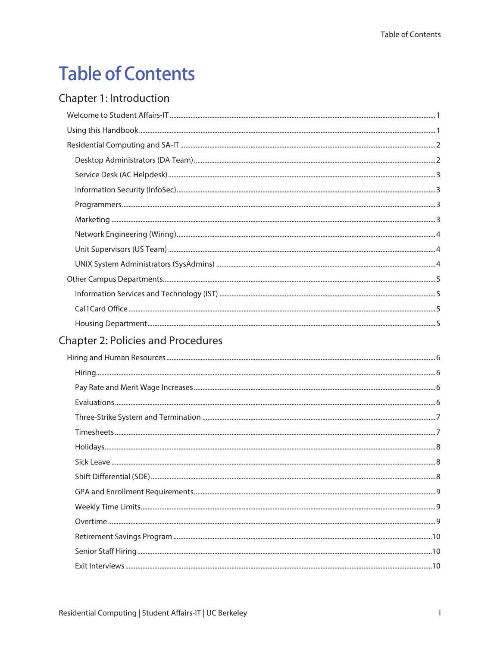# **Table of Contents**

#### Chapter 1: Introduction

| $\label{eq:3} \begin{minipage}{0.9\textwidth} \centering \textbf{Programmers} \textit{}\footnotesize \textit{}\footnotesize \textit{}\footnotesize \textit{}\footnotesize \textit{}\footnotesize \textit{}\footnotesize \textit{}\footnotesize \textit{}\footnotesize \textit{}\footnotesize \textit{}\footnotesize \textit{}\footnotesize \textit{}\footnotesize \textit{}\footnotesize \textit{}\footnotesize \textit{}\footnotesize \textit{}\footnotesize \textit{}\footnotesize \textit{}\footnotesize \textit{}\footnotesize \textit{}\footnotesize \textit{}\footnotesize$ |  |
|-----------------------------------------------------------------------------------------------------------------------------------------------------------------------------------------------------------------------------------------------------------------------------------------------------------------------------------------------------------------------------------------------------------------------------------------------------------------------------------------------------------------------------------------------------------------------------------|--|
|                                                                                                                                                                                                                                                                                                                                                                                                                                                                                                                                                                                   |  |
|                                                                                                                                                                                                                                                                                                                                                                                                                                                                                                                                                                                   |  |
|                                                                                                                                                                                                                                                                                                                                                                                                                                                                                                                                                                                   |  |
|                                                                                                                                                                                                                                                                                                                                                                                                                                                                                                                                                                                   |  |
|                                                                                                                                                                                                                                                                                                                                                                                                                                                                                                                                                                                   |  |
|                                                                                                                                                                                                                                                                                                                                                                                                                                                                                                                                                                                   |  |
|                                                                                                                                                                                                                                                                                                                                                                                                                                                                                                                                                                                   |  |
|                                                                                                                                                                                                                                                                                                                                                                                                                                                                                                                                                                                   |  |

#### **Chapter 2: Policies and Procedures**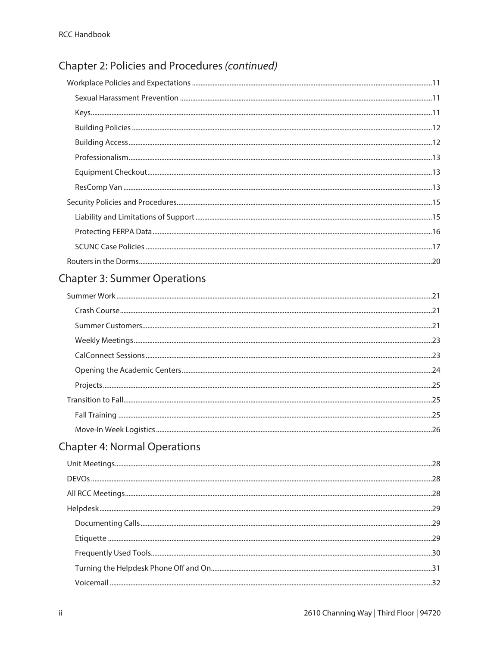#### Chapter 2: Policies and Procedures (continued)

#### **Chapter 3: Summer Operations**

#### **Chapter 4: Normal Operations**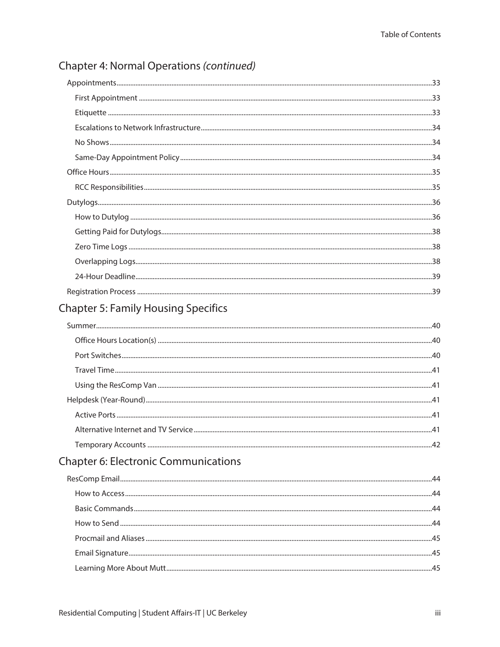### Chapter 4: Normal Operations (continued)

| <b>Chapter 5: Family Housing Specifics</b>  |  |
|---------------------------------------------|--|
|                                             |  |
|                                             |  |
|                                             |  |
|                                             |  |
|                                             |  |
|                                             |  |
|                                             |  |
|                                             |  |
|                                             |  |
| <b>Chapter 6: Electronic Communications</b> |  |
|                                             |  |
|                                             |  |
|                                             |  |
|                                             |  |
|                                             |  |
|                                             |  |
|                                             |  |
|                                             |  |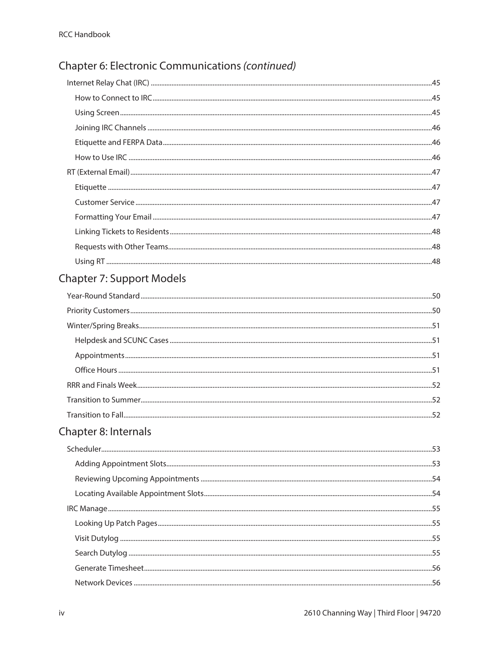#### Chapter 6: Electronic Communications (continued)

| <b>Chapter 7: Support Models</b> |  |
|----------------------------------|--|
|                                  |  |
|                                  |  |
|                                  |  |
|                                  |  |
|                                  |  |
|                                  |  |
|                                  |  |
|                                  |  |
|                                  |  |
| Chapter 8: Internals             |  |
|                                  |  |
|                                  |  |
|                                  |  |
|                                  |  |
|                                  |  |
|                                  |  |
|                                  |  |
|                                  |  |
|                                  |  |
|                                  |  |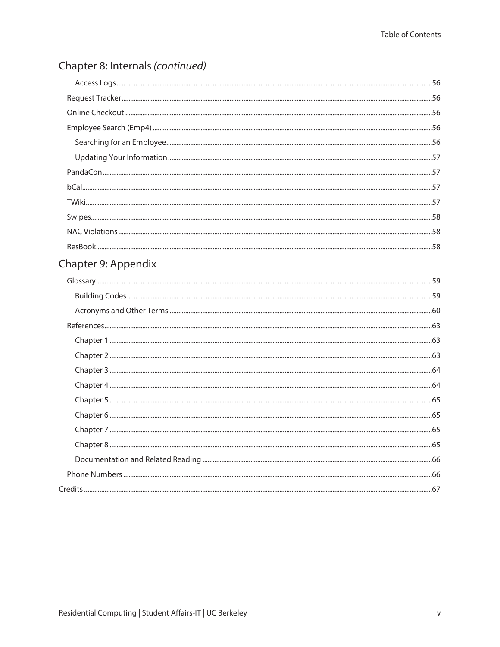### Chapter 8: Internals (continued)

| Chapter 9: Appendix |  |
|---------------------|--|
|                     |  |
|                     |  |
|                     |  |
|                     |  |
|                     |  |
|                     |  |
|                     |  |
|                     |  |
|                     |  |
|                     |  |
|                     |  |
|                     |  |
|                     |  |
|                     |  |
|                     |  |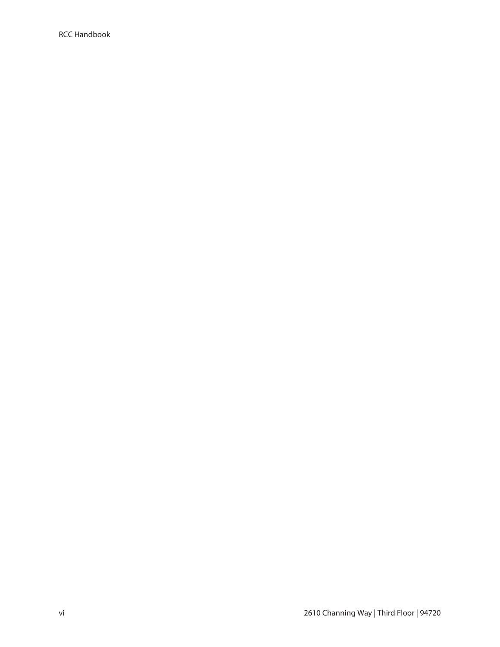RCC Handbook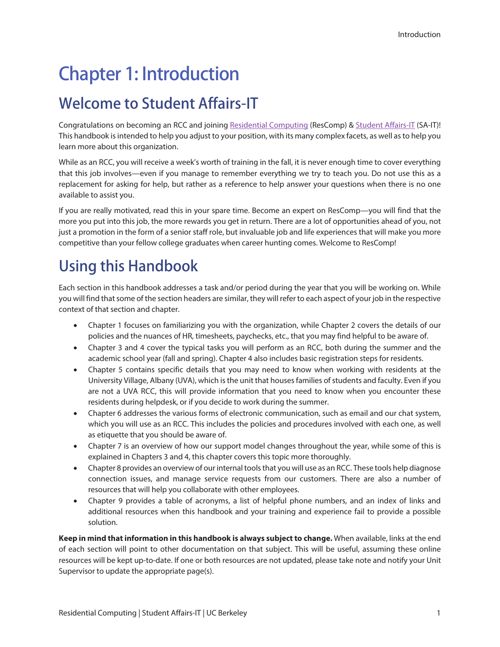## Chapter 1: Introduction

### Welcome to Student Affairs-IT

Congratulations on becoming an RCC and joining Residential Computing (ResComp) & Student Affairs-IT (SA-IT)! This handbook is intended to help you adjust to your position, with its many complex facets, as well as to help you learn more about this organization.

While as an RCC, you will receive a week's worth of training in the fall, it is never enough time to cover everything that this job involves—even if you manage to remember everything we try to teach you. Do not use this as a replacement for asking for help, but rather as a reference to help answer your questions when there is no one available to assist you.

If you are really motivated, read this in your spare time. Become an expert on ResComp—you will find that the more you put into this job, the more rewards you get in return. There are a lot of opportunities ahead of you, not just a promotion in the form of a senior staff role, but invaluable job and life experiences that will make you more competitive than your fellow college graduates when career hunting comes. Welcome to ResComp!

### Using this Handbook

Each section in this handbook addresses a task and/or period during the year that you will be working on. While you will find that some of the section headers are similar, they will refer to each aspect of your job in the respective context of that section and chapter.

- Chapter 1 focuses on familiarizing you with the organization, while Chapter 2 covers the details of our policies and the nuances of HR, timesheets, paychecks, etc., that you may find helpful to be aware of.
- Chapter 3 and 4 cover the typical tasks you will perform as an RCC, both during the summer and the academic school year (fall and spring). Chapter 4 also includes basic registration steps for residents.
- Chapter 5 contains specific details that you may need to know when working with residents at the University Village, Albany (UVA), which is the unit that houses families of students and faculty. Even if you are not a UVA RCC, this will provide information that you need to know when you encounter these residents during helpdesk, or if you decide to work during the summer.
- Chapter 6 addresses the various forms of electronic communication, such as email and our chat system, which you will use as an RCC. This includes the policies and procedures involved with each one, as well as etiquette that you should be aware of.
- Chapter 7 is an overview of how our support model changes throughout the year, while some of this is explained in Chapters 3 and 4, this chapter covers this topic more thoroughly.
- Chapter 8 provides an overview of our internal tools that you will use as an RCC. These tools help diagnose connection issues, and manage service requests from our customers. There are also a number of resources that will help you collaborate with other employees.
- Chapter 9 provides a table of acronyms, a list of helpful phone numbers, and an index of links and additional resources when this handbook and your training and experience fail to provide a possible solution.

**Keep in mind that information in this handbook is always subject to change.** When available, links at the end of each section will point to other documentation on that subject. This will be useful, assuming these online resources will be kept up-to-date. If one or both resources are not updated, please take note and notify your Unit Supervisor to update the appropriate page(s).